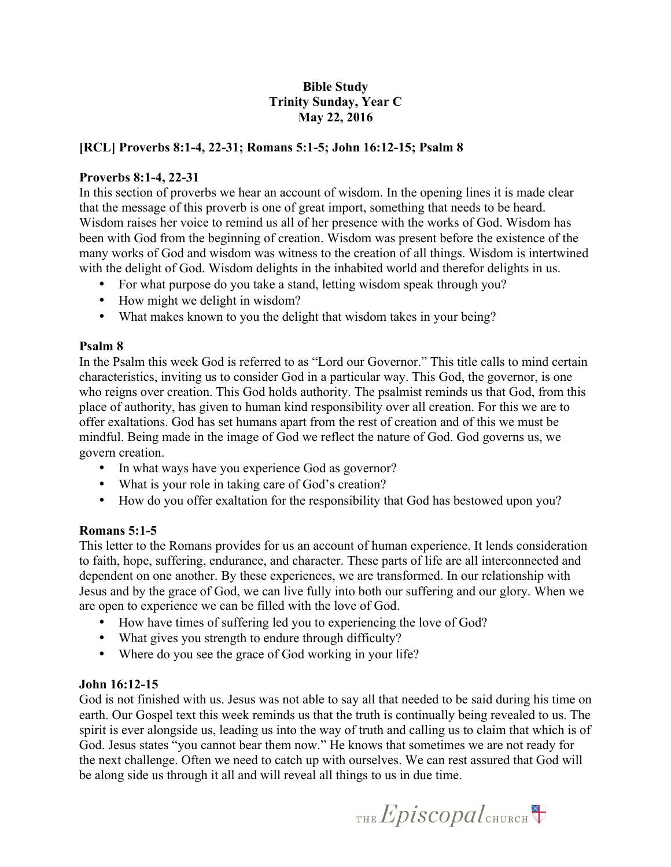## **Bible Study Trinity Sunday, Year C May 22, 2016**

# **[RCL] Proverbs 8:1-4, 22-31; Romans 5:1-5; John 16:12-15; Psalm 8**

### **Proverbs 8:1-4, 22-31**

In this section of proverbs we hear an account of wisdom. In the opening lines it is made clear that the message of this proverb is one of great import, something that needs to be heard. Wisdom raises her voice to remind us all of her presence with the works of God. Wisdom has been with God from the beginning of creation. Wisdom was present before the existence of the many works of God and wisdom was witness to the creation of all things. Wisdom is intertwined with the delight of God. Wisdom delights in the inhabited world and therefor delights in us.

- For what purpose do you take a stand, letting wisdom speak through you?
- How might we delight in wisdom?
- What makes known to you the delight that wisdom takes in your being?

#### **Psalm 8**

In the Psalm this week God is referred to as "Lord our Governor." This title calls to mind certain characteristics, inviting us to consider God in a particular way. This God, the governor, is one who reigns over creation. This God holds authority. The psalmist reminds us that God, from this place of authority, has given to human kind responsibility over all creation. For this we are to offer exaltations. God has set humans apart from the rest of creation and of this we must be mindful. Being made in the image of God we reflect the nature of God. God governs us, we govern creation.

- In what ways have you experience God as governor?
- What is your role in taking care of God's creation?
- How do you offer exaltation for the responsibility that God has bestowed upon you?

## **Romans 5:1-5**

This letter to the Romans provides for us an account of human experience. It lends consideration to faith, hope, suffering, endurance, and character. These parts of life are all interconnected and dependent on one another. By these experiences, we are transformed. In our relationship with Jesus and by the grace of God, we can live fully into both our suffering and our glory. When we are open to experience we can be filled with the love of God.

- How have times of suffering led you to experiencing the love of God?
- What gives you strength to endure through difficulty?
- Where do you see the grace of God working in your life?

## **John 16:12-15**

God is not finished with us. Jesus was not able to say all that needed to be said during his time on earth. Our Gospel text this week reminds us that the truth is continually being revealed to us. The spirit is ever alongside us, leading us into the way of truth and calling us to claim that which is of God. Jesus states "you cannot bear them now." He knows that sometimes we are not ready for the next challenge. Often we need to catch up with ourselves. We can rest assured that God will be along side us through it all and will reveal all things to us in due time.

THE  $Epis copal$ <sub>CHURCH</sub>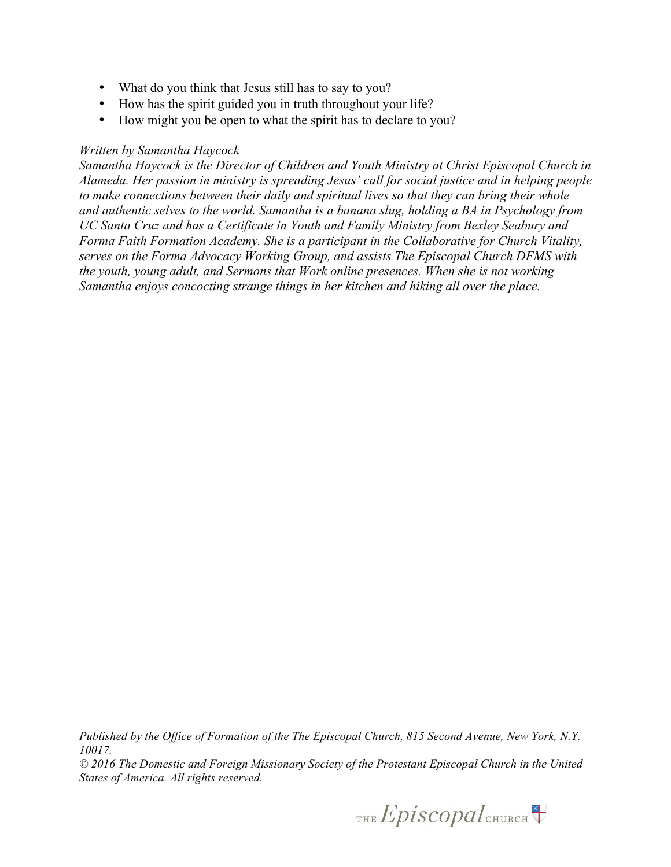- What do you think that Jesus still has to say to you?
- How has the spirit guided you in truth throughout your life?
- How might you be open to what the spirit has to declare to you?

#### *Written by Samantha Haycock*

*Samantha Haycock is the Director of Children and Youth Ministry at Christ Episcopal Church in Alameda. Her passion in ministry is spreading Jesus' call for social justice and in helping people to make connections between their daily and spiritual lives so that they can bring their whole and authentic selves to the world. Samantha is a banana slug, holding a BA in Psychology from UC Santa Cruz and has a Certificate in Youth and Family Ministry from Bexley Seabury and Forma Faith Formation Academy. She is a participant in the Collaborative for Church Vitality, serves on the Forma Advocacy Working Group, and assists The Episcopal Church DFMS with the youth, young adult, and Sermons that Work online presences. When she is not working Samantha enjoys concocting strange things in her kitchen and hiking all over the place.*

*Published by the Office of Formation of the The Episcopal Church, 815 Second Avenue, New York, N.Y. 10017.*

*© 2016 The Domestic and Foreign Missionary Society of the Protestant Episcopal Church in the United States of America. All rights reserved.*

THE  $Epis copal$ <sub>CHURCH</sub>